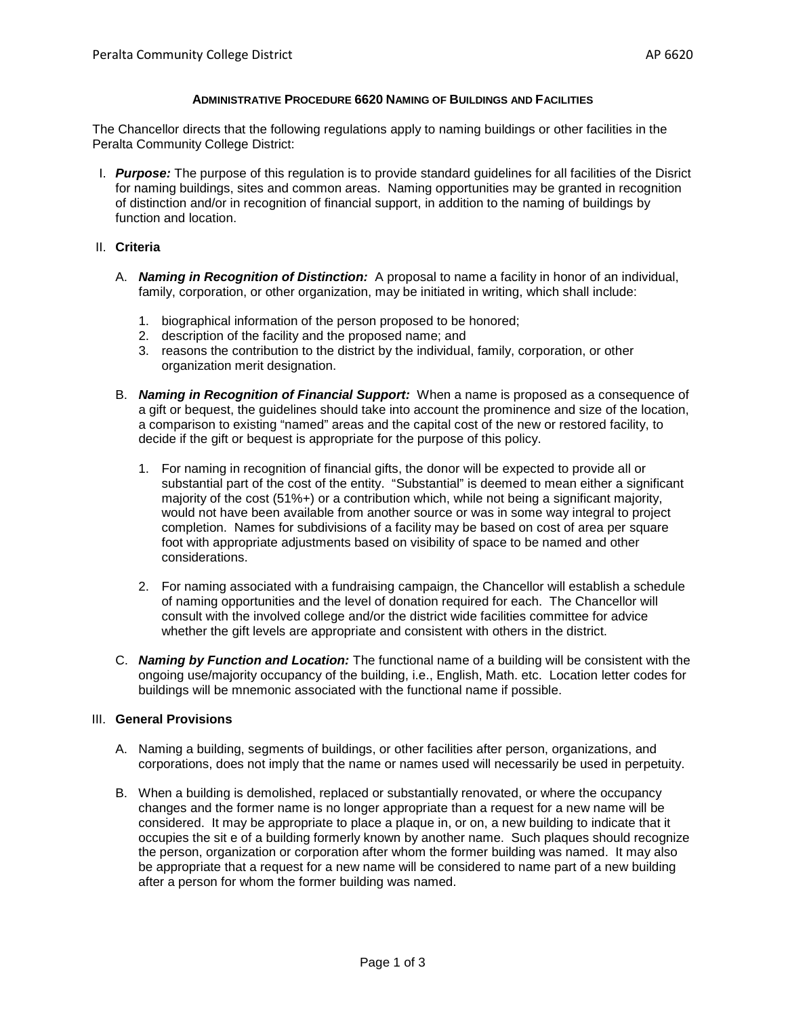## **ADMINISTRATIVE PROCEDURE 6620 NAMING OF BUILDINGS AND FACILITIES**

The Chancellor directs that the following regulations apply to naming buildings or other facilities in the Peralta Community College District:

I. *Purpose:* The purpose of this regulation is to provide standard guidelines for all facilities of the Disrict for naming buildings, sites and common areas. Naming opportunities may be granted in recognition of distinction and/or in recognition of financial support, in addition to the naming of buildings by function and location.

## II. **Criteria**

- A. *Naming in Recognition of Distinction:* A proposal to name a facility in honor of an individual, family, corporation, or other organization, may be initiated in writing, which shall include:
	- 1. biographical information of the person proposed to be honored;
	- 2. description of the facility and the proposed name; and
	- 3. reasons the contribution to the district by the individual, family, corporation, or other organization merit designation.
- B. *Naming in Recognition of Financial Support:* When a name is proposed as a consequence of a gift or bequest, the guidelines should take into account the prominence and size of the location, a comparison to existing "named" areas and the capital cost of the new or restored facility, to decide if the gift or bequest is appropriate for the purpose of this policy.
	- 1. For naming in recognition of financial gifts, the donor will be expected to provide all or substantial part of the cost of the entity. "Substantial" is deemed to mean either a significant majority of the cost (51%+) or a contribution which, while not being a significant majority, would not have been available from another source or was in some way integral to project completion. Names for subdivisions of a facility may be based on cost of area per square foot with appropriate adjustments based on visibility of space to be named and other considerations.
	- 2. For naming associated with a fundraising campaign, the Chancellor will establish a schedule of naming opportunities and the level of donation required for each. The Chancellor will consult with the involved college and/or the district wide facilities committee for advice whether the gift levels are appropriate and consistent with others in the district.
- C. *Naming by Function and Location:* The functional name of a building will be consistent with the ongoing use/majority occupancy of the building, i.e., English, Math. etc. Location letter codes for buildings will be mnemonic associated with the functional name if possible.

## III. **General Provisions**

- A. Naming a building, segments of buildings, or other facilities after person, organizations, and corporations, does not imply that the name or names used will necessarily be used in perpetuity.
- B. When a building is demolished, replaced or substantially renovated, or where the occupancy changes and the former name is no longer appropriate than a request for a new name will be considered. It may be appropriate to place a plaque in, or on, a new building to indicate that it occupies the sit e of a building formerly known by another name. Such plaques should recognize the person, organization or corporation after whom the former building was named. It may also be appropriate that a request for a new name will be considered to name part of a new building after a person for whom the former building was named.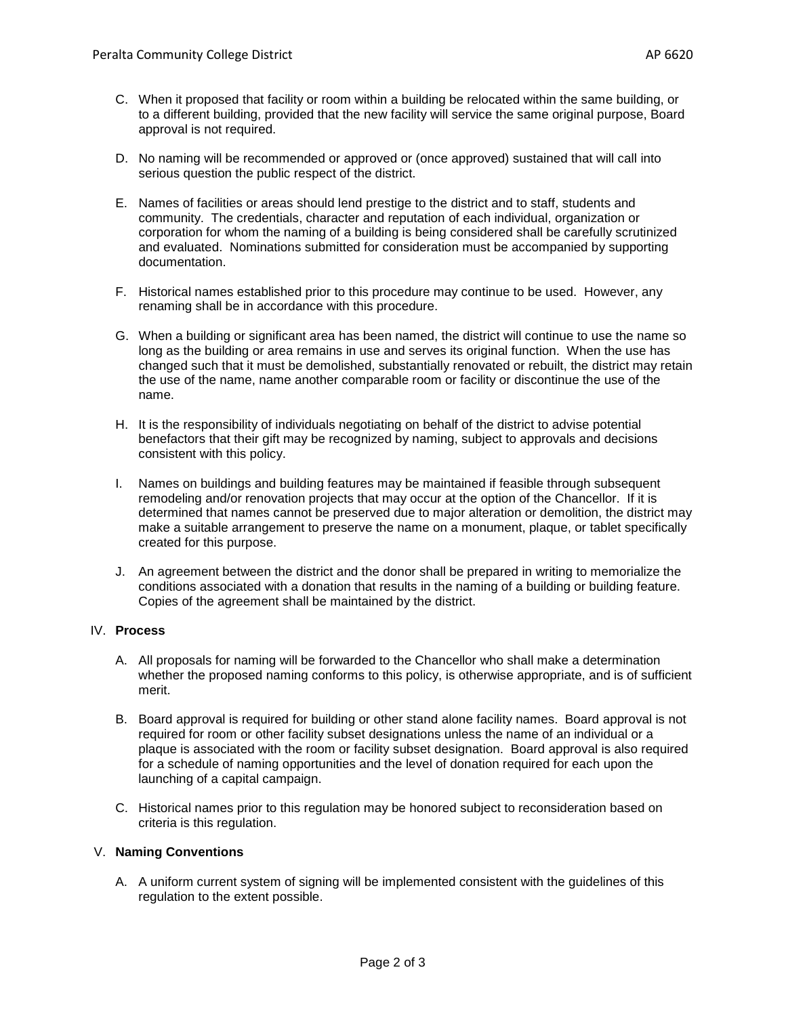- D. No naming will be recommended or approved or (once approved) sustained that will call into serious question the public respect of the district.
- E. Names of facilities or areas should lend prestige to the district and to staff, students and community. The credentials, character and reputation of each individual, organization or corporation for whom the naming of a building is being considered shall be carefully scrutinized and evaluated. Nominations submitted for consideration must be accompanied by supporting documentation.
- F. Historical names established prior to this procedure may continue to be used. However, any renaming shall be in accordance with this procedure.
- G. When a building or significant area has been named, the district will continue to use the name so long as the building or area remains in use and serves its original function. When the use has changed such that it must be demolished, substantially renovated or rebuilt, the district may retain the use of the name, name another comparable room or facility or discontinue the use of the name.
- H. It is the responsibility of individuals negotiating on behalf of the district to advise potential benefactors that their gift may be recognized by naming, subject to approvals and decisions consistent with this policy.
- I. Names on buildings and building features may be maintained if feasible through subsequent remodeling and/or renovation projects that may occur at the option of the Chancellor. If it is determined that names cannot be preserved due to major alteration or demolition, the district may make a suitable arrangement to preserve the name on a monument, plaque, or tablet specifically created for this purpose.
- J. An agreement between the district and the donor shall be prepared in writing to memorialize the conditions associated with a donation that results in the naming of a building or building feature. Copies of the agreement shall be maintained by the district.

# IV. **Process**

- A. All proposals for naming will be forwarded to the Chancellor who shall make a determination whether the proposed naming conforms to this policy, is otherwise appropriate, and is of sufficient merit.
- B. Board approval is required for building or other stand alone facility names. Board approval is not required for room or other facility subset designations unless the name of an individual or a plaque is associated with the room or facility subset designation. Board approval is also required for a schedule of naming opportunities and the level of donation required for each upon the launching of a capital campaign.
- C. Historical names prior to this regulation may be honored subject to reconsideration based on criteria is this regulation.

### V. **Naming Conventions**

A. A uniform current system of signing will be implemented consistent with the guidelines of this regulation to the extent possible.